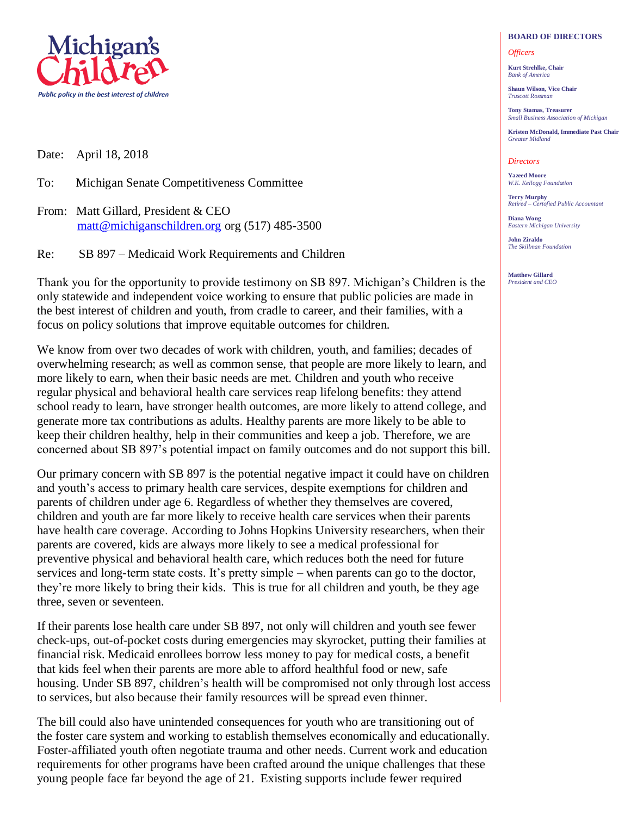

Date: April 18, 2018

To: Michigan Senate Competitiveness Committee

From: Matt Gillard, President & CEO matt@michiganschildren.org org (517) 485-3500

Re: SB 897 – Medicaid Work Requirements and Children

Thank you for the opportunity to provide testimony on SB 897. Michigan's Children is the only statewide and independent voice working to ensure that public policies are made in the best interest of children and youth, from cradle to career, and their families, with a focus on policy solutions that improve equitable outcomes for children.

We know from over two decades of work with children, youth, and families; decades of overwhelming research; as well as common sense, that people are more likely to learn, and more likely to earn, when their basic needs are met. Children and youth who receive regular physical and behavioral health care services reap lifelong benefits: they attend school ready to learn, have stronger health outcomes, are more likely to attend college, and generate more tax contributions as adults. Healthy parents are more likely to be able to keep their children healthy, help in their communities and keep a job. Therefore, we are concerned about SB 897's potential impact on family outcomes and do not support this bill.

Our primary concern with SB 897 is the potential negative impact it could have on children and youth's access to primary health care services, despite exemptions for children and parents of children under age 6. Regardless of whether they themselves are covered, children and youth are far more likely to receive health care services when their parents have health care coverage. According to Johns Hopkins University researchers, when their parents are covered, kids are always more likely to see a medical professional for preventive physical and behavioral health care, which reduces both the need for future services and long-term state costs. It's pretty simple – when parents can go to the doctor, they're more likely to bring their kids. This is true for all children and youth, be they age three, seven or seventeen.

If their parents lose health care under SB 897, not only will children and youth see fewer check-ups, out-of-pocket costs during emergencies may skyrocket, putting their families at financial risk. Medicaid enrollees borrow less money to pay for medical costs, a benefit that kids feel when their parents are more able to afford healthful food or new, safe housing. Under SB 897, children's health will be compromised not only through lost access to services, but also because their family resources will be spread even thinner.

The bill could also have unintended consequences for youth who are transitioning out of the foster care system and working to establish themselves economically and educationally. Foster-affiliated youth often negotiate trauma and other needs. Current work and education requirements for other programs have been crafted around the unique challenges that these young people face far beyond the age of 21. Existing supports include fewer required

## **BOARD OF DIRECTORS**

## *Officers*

**Kurt Strehlke, Chair** *Bank of America*

**Shaun Wilson, Vice Chair** *Truscott Rossman*

**Tony Stamas, Treasurer** *Small Business Association of Michigan*

**Kristen McDonald, Immediate Past Chair** *Greater Midland*

## *Directors*

**Yazeed Moore** *W.K. Kellogg Foundation*

**Terry Murphy** *Retired – Certofied Public Accountant*

**Diana Wong** *Eastern Michigan University*

**John Ziraldo** *The Skillman Foundation*

**Matthew Gillard** *President and CEO*